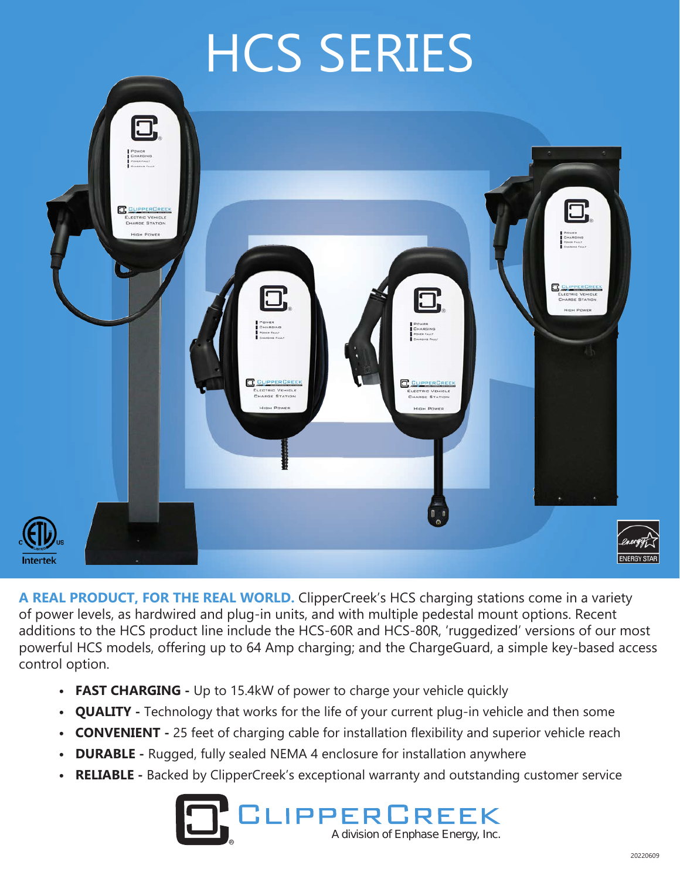# HCS SERIES



**A REAL PRODUCT, FOR THE REAL WORLD.** ClipperCreek's HCS charging stations come in a variety of power levels, as hardwired and plug-in units, and with multiple pedestal mount options. Recent additions to the HCS product line include the HCS-60R and HCS-80R, 'ruggedized' versions of our most powerful HCS models, offering up to 64 Amp charging; and the ChargeGuard, a simple key-based access control option.

- **FAST CHARGING -** Up to 15.4kW of power to charge your vehicle quickly
- **QUALITY -** Technology that works for the life of your current plug-in vehicle and then some
- **CONVENIENT -** 25 feet of charging cable for installation flexibility and superior vehicle reach
- **DURABLE -** Rugged, fully sealed NEMA 4 enclosure for installation anywhere
- **RELIABLE -** Backed by ClipperCreek's exceptional warranty and outstanding customer service